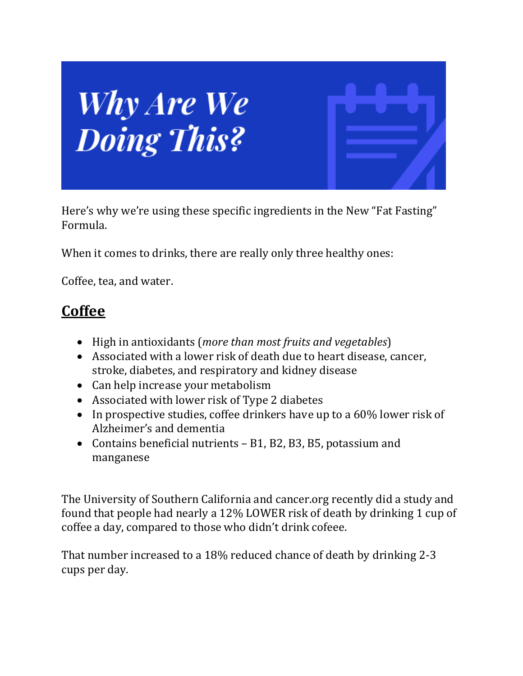

Here's why we're using these specific ingredients in the New "Fat Fasting" Formula.

When it comes to drinks, there are really only three healthy ones:

Coffee, tea, and water.

### **Coffee**

- High in antioxidants (*more than most fruits and vegetables*)
- Associated with a lower risk of death due to heart disease, cancer, stroke, diabetes, and respiratory and kidney disease
- Can help increase your metabolism
- Associated with lower risk of Type 2 diabetes
- In prospective studies, coffee drinkers have up to a 60% lower risk of Alzheimer's and dementia
- Contains beneficial nutrients B1, B2, B3, B5, potassium and manganese

The University of Southern California and cancer.org recently did a study and found that people had nearly a 12% LOWER risk of death by drinking 1 cup of coffee a day, compared to those who didn't drink cofeee.

That number increased to a 18% reduced chance of death by drinking 2-3 cups per day.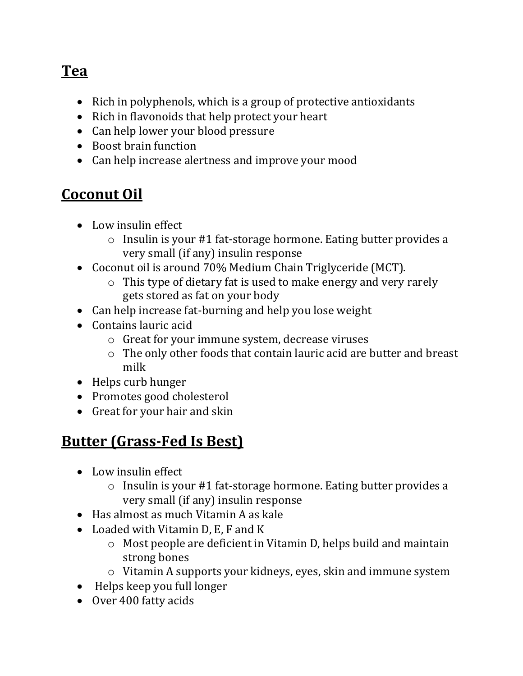## **Tea**

- Rich in polyphenols, which is a group of protective antioxidants
- Rich in flavonoids that help protect your heart
- Can help lower your blood pressure
- Boost brain function
- Can help increase alertness and improve your mood

## **Coconut Oil**

- Low insulin effect
	- o Insulin is your #1 fat-storage hormone. Eating butter provides a very small (if any) insulin response
- Coconut oil is around 70% Medium Chain Triglyceride (MCT).
	- o This type of dietary fat is used to make energy and very rarely gets stored as fat on your body
- Can help increase fat-burning and help you lose weight
- Contains lauric acid
	- o Great for your immune system, decrease viruses
	- o The only other foods that contain lauric acid are butter and breast milk
- Helps curb hunger
- Promotes good cholesterol
- Great for your hair and skin

# **Butter (Grass-Fed Is Best)**

- Low insulin effect
	- o Insulin is your #1 fat-storage hormone. Eating butter provides a very small (if any) insulin response
- Has almost as much Vitamin A as kale
- Loaded with Vitamin D, E, F and K
	- o Most people are deficient in Vitamin D, helps build and maintain strong bones
	- o Vitamin A supports your kidneys, eyes, skin and immune system
- Helps keep you full longer
- Over 400 fatty acids